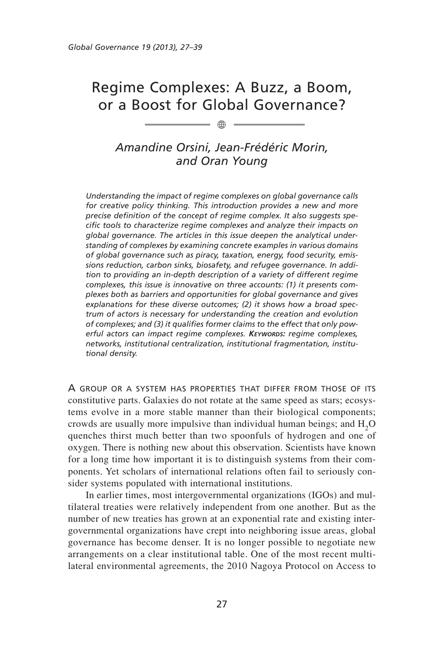# Regime Complexes: A Buzz, a Boom, or a Boost for Global Governance?

**角** -

*Amandine Orsini, Jean-Frédéric Morin, and Oran Young*

*Understanding the impact of regime complexes on global governance calls for creative policy thinking. This introduction provides a new and more precise definition of the concept of regime complex. It also suggests specific tools to characterize regime complexes and analyze their impacts on global governance. The articles in this issue deepen the analytical understanding of complexes by examining concrete examples in various domains of global governance such as piracy, taxation, energy, food security, emissions reduction, carbon sinks, biosafety, and refugee governance. In addition to providing an in-depth description of a variety of different regime complexes, this issue is innovative on three accounts: (1) it presents complexes both as barriers and opportunities for global governance and gives explanations for these diverse outcomes; (2) it shows how a broad spectrum of actors is necessary for understanding the creation and evolution of complexes; and (3) it qualifies former claims to the effect that only powerful actors can impact regime complexes. KEYWORDS: regime complexes, networks, institutional centralization, institutional fragmentation, institutional density.*

A GROUP OR A SYSTEM HAS PROPERTIES THAT DIFFER FROM THOSE OF ITS constitutive parts. Galaxies do not rotate at the same speed as stars; ecosystems evolve in a more stable manner than their biological components; crowds are usually more impulsive than individual human beings; and  $H<sub>2</sub>O$ quenches thirst much better than two spoonfuls of hydrogen and one of oxygen. There is nothing new about this observation. Scientists have known for a long time how important it is to distinguish systems from their components. Yet scholars of international relations often fail to seriously consider systems populated with international institutions.

In earlier times, most intergovernmental organizations (IGOs) and multilateral treaties were relatively independent from one another. But as the number of new treaties has grown at an exponential rate and existing intergovernmental organizations have crept into neighboring issue areas, global governance has become denser. It is no longer possible to negotiate new arrangements on a clear institutional table. One of the most recent multilateral environmental agreements, the 2010 Nagoya Protocol on Access to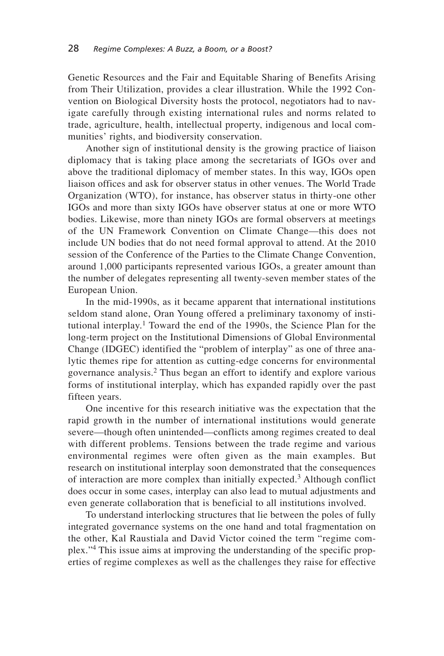Genetic Resources and the Fair and Equitable Sharing of Benefits Arising from Their Utilization, provides a clear illustration. While the 1992 Convention on Biological Diversity hosts the protocol, negotiators had to navigate carefully through existing international rules and norms related to trade, agriculture, health, intellectual property, indigenous and local communities' rights, and biodiversity conservation.

Another sign of institutional density is the growing practice of liaison diplomacy that is taking place among the secretariats of IGOs over and above the traditional diplomacy of member states. In this way, IGOs open liaison offices and ask for observer status in other venues. The World Trade Organization (WTO), for instance, has observer status in thirty-one other IGOs and more than sixty IGOs have observer status at one or more WTO bodies. Likewise, more than ninety IGOs are formal observers at meetings of the UN Framework Convention on Climate Change—this does not include UN bodies that do not need formal approval to attend. At the 2010 session of the Conference of the Parties to the Climate Change Convention, around 1,000 participants represented various IGOs, a greater amount than the number of delegates representing all twenty-seven member states of the European Union.

In the mid-1990s, as it became apparent that international institutions seldom stand alone, Oran Young offered a preliminary taxonomy of institutional interplay. <sup>1</sup> Toward the end of the 1990s, the Science Plan for the long-term project on the Institutional Dimensions of Global Environmental Change (IDGEC) identified the "problem of interplay" as one of three analytic themes ripe for attention as cutting-edge concerns for environmental governance analysis. <sup>2</sup> Thus began an effort to identify and explore various forms of institutional interplay, which has expanded rapidly over the past fifteen years.

One incentive for this research initiative was the expectation that the rapid growth in the number of international institutions would generate severe—though often unintended—conflicts among regimes created to deal with different problems. Tensions between the trade regime and various environmental regimes were often given as the main examples. But research on institutional interplay soon demonstrated that the consequences of interaction are more complex than initially expected. <sup>3</sup> Although conflict does occur in some cases, interplay can also lead to mutual adjustments and even generate collaboration that is beneficial to all institutions involved.

To understand interlocking structures that lie between the poles of fully integrated governance systems on the one hand and total fragmentation on the other, Kal Raustiala and David Victor coined the term "regime complex."4 This issue aims at improving the understanding of the specific properties of regime complexes as well as the challenges they raise for effective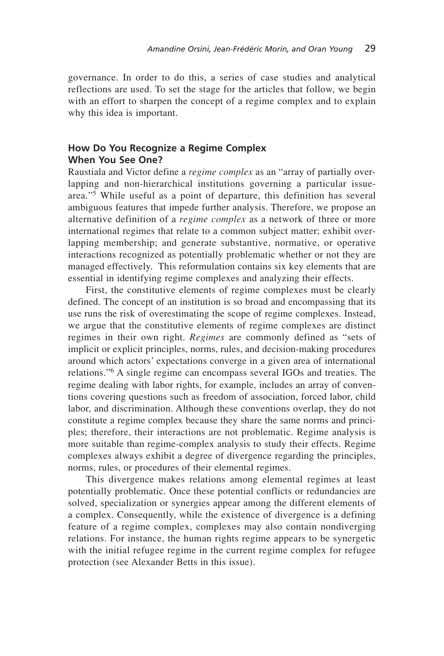governance. In order to do this, a series of case studies and analytical reflections are used. To set the stage for the articles that follow, we begin with an effort to sharpen the concept of a regime complex and to explain why this idea is important.

# **How Do You Recognize a Regime Complex When You See One?**

Raustiala and Victor define a *regime complex* as an "array of partially overlapping and non-hierarchical institutions governing a particular issuearea."5 While useful as a point of departure, this definition has several ambiguous features that impede further analysis. Therefore, we propose an alternative definition of a *regime complex* as a network of three or more international regimes that relate to a common subject matter; exhibit overlapping membership; and generate substantive, normative, or operative interactions recognized as potentially problematic whether or not they are managed effectively. This reformulation contains six key elements that are essential in identifying regime complexes and analyzing their effects.

First, the constitutive elements of regime complexes must be clearly defined. The concept of an institution is so broad and encompassing that its use runs the risk of overestimating the scope of regime complexes. Instead, we argue that the constitutive elements of regime complexes are distinct regimes in their own right. *Regimes* are commonly defined as "sets of implicit or explicit principles, norms, rules, and decision-making procedures around which actors' expectations converge in a given area of international relations."6 A single regime can encompass several IGOs and treaties. The regime dealing with labor rights, for example, includes an array of conventions covering questions such as freedom of association, forced labor, child labor, and discrimination. Although these conventions overlap, they do not constitute a regime complex because they share the same norms and principles; therefore, their interactions are not problematic. Regime analysis is more suitable than regime-complex analysis to study their effects. Regime complexes always exhibit a degree of divergence regarding the principles, norms, rules, or procedures of their elemental regimes.

This divergence makes relations among elemental regimes at least potentially problematic. Once these potential conflicts or redundancies are solved, specialization or synergies appear among the different elements of a complex. Consequently, while the existence of divergence is a defining feature of a regime complex, complexes may also contain nondiverging relations. For instance, the human rights regime appears to be synergetic with the initial refugee regime in the current regime complex for refugee protection (see Alexander Betts in this issue).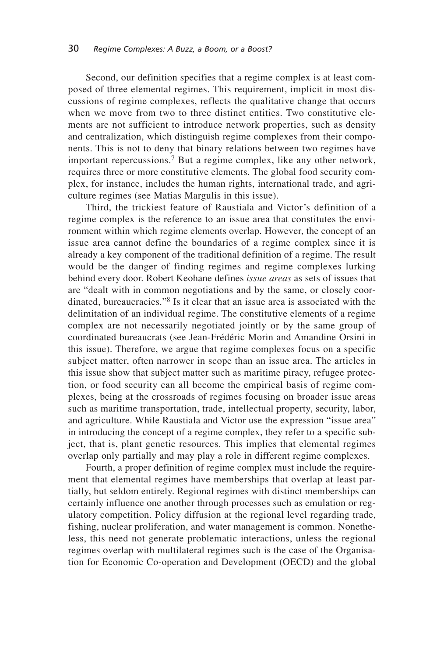Second, our definition specifies that a regime complex is at least composed of three elemental regimes. This requirement, implicit in most discussions of regime complexes, reflects the qualitative change that occurs when we move from two to three distinct entities. Two constitutive elements are not sufficient to introduce network properties, such as density and centralization, which distinguish regime complexes from their components. This is not to deny that binary relations between two regimes have important repercussions.<sup>7</sup> But a regime complex, like any other network, requires three or more constitutive elements. The global food security complex, for instance, includes the human rights, international trade, and agriculture regimes (see Matias Margulis in this issue).

Third, the trickiest feature of Raustiala and Victor's definition of a regime complex is the reference to an issue area that constitutes the environment within which regime elements overlap. However, the concept of an issue area cannot define the boundaries of a regime complex since it is already a key component of the traditional definition of a regime. The result would be the danger of finding regimes and regime complexes lurking behind every door. Robert Keohane defines *issue areas* as sets of issues that are "dealt with in common negotiations and by the same, or closely coordinated, bureaucracies."8 Is it clear that an issue area is associated with the delimitation of an individual regime. The constitutive elements of a regime complex are not necessarily negotiated jointly or by the same group of coordinated bureaucrats (see Jean-Frédéric Morin and Amandine Orsini in this issue). Therefore, we argue that regime complexes focus on a specific subject matter, often narrower in scope than an issue area. The articles in this issue show that subject matter such as maritime piracy, refugee protection, or food security can all become the empirical basis of regime complexes, being at the crossroads of regimes focusing on broader issue areas such as maritime transportation, trade, intellectual property, security, labor, and agriculture. While Raustiala and Victor use the expression "issue area" in introducing the concept of a regime complex, they refer to a specific subject, that is, plant genetic resources. This implies that elemental regimes overlap only partially and may play a role in different regime complexes.

Fourth, a proper definition of regime complex must include the requirement that elemental regimes have memberships that overlap at least partially, but seldom entirely. Regional regimes with distinct memberships can certainly influence one another through processes such as emulation or regulatory competition. Policy diffusion at the regional level regarding trade, fishing, nuclear proliferation, and water management is common. Nonetheless, this need not generate problematic interactions, unless the regional regimes overlap with multilateral regimes such is the case of the Organisation for Economic Co-operation and Development (OECD) and the global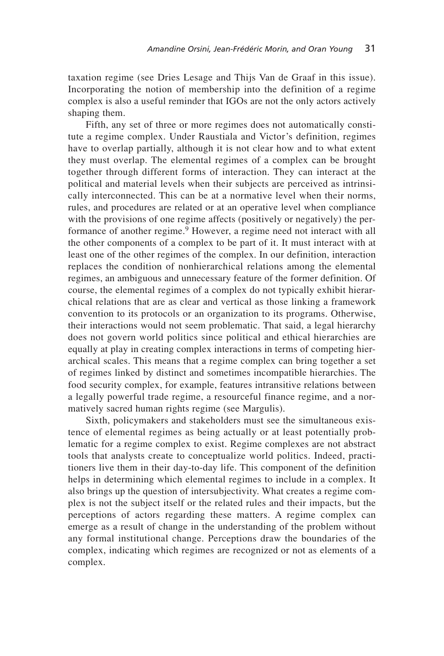taxation regime (see Dries Lesage and Thijs Van de Graaf in this issue). Incorporating the notion of membership into the definition of a regime complex is also a useful reminder that IGOs are not the only actors actively shaping them.

Fifth, any set of three or more regimes does not automatically constitute a regime complex. Under Raustiala and Victor's definition, regimes have to overlap partially, although it is not clear how and to what extent they must overlap. The elemental regimes of a complex can be brought together through different forms of interaction. They can interact at the political and material levels when their subjects are perceived as intrinsically interconnected. This can be at a normative level when their norms, rules, and procedures are related or at an operative level when compliance with the provisions of one regime affects (positively or negatively) the performance of another regime. $9$  However, a regime need not interact with all the other components of a complex to be part of it. It must interact with at least one of the other regimes of the complex. In our definition, interaction replaces the condition of nonhierarchical relations among the elemental regimes, an ambiguous and unnecessary feature of the former definition. Of course, the elemental regimes of a complex do not typically exhibit hierarchical relations that are as clear and vertical as those linking a framework convention to its protocols or an organization to its programs. Otherwise, their interactions would not seem problematic. That said, a legal hierarchy does not govern world politics since political and ethical hierarchies are equally at play in creating complex interactions in terms of competing hierarchical scales. This means that a regime complex can bring together a set of regimes linked by distinct and sometimes incompatible hierarchies. The food security complex, for example, features intransitive relations between a legally powerful trade regime, a resourceful finance regime, and a normatively sacred human rights regime (see Margulis).

Sixth, policymakers and stakeholders must see the simultaneous existence of elemental regimes as being actually or at least potentially problematic for a regime complex to exist. Regime complexes are not abstract tools that analysts create to conceptualize world politics. Indeed, practitioners live them in their day-to-day life. This component of the definition helps in determining which elemental regimes to include in a complex. It also brings up the question of intersubjectivity. What creates a regime complex is not the subject itself or the related rules and their impacts, but the perceptions of actors regarding these matters. A regime complex can emerge as a result of change in the understanding of the problem without any formal institutional change. Perceptions draw the boundaries of the complex, indicating which regimes are recognized or not as elements of a complex.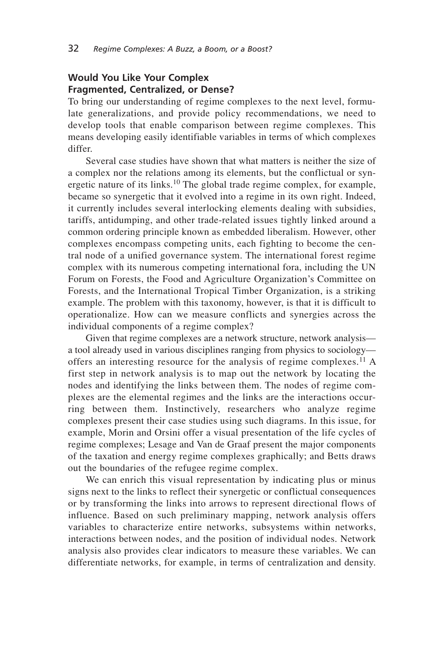## **Would You Like Your Complex Fragmented, Centralized, or Dense?**

To bring our understanding of regime complexes to the next level, formulate generalizations, and provide policy recommendations, we need to develop tools that enable comparison between regime complexes. This means developing easily identifiable variables in terms of which complexes differ.

Several case studies have shown that what matters is neither the size of a complex nor the relations among its elements, but the conflictual or synergetic nature of its links.<sup>10</sup> The global trade regime complex, for example, became so synergetic that it evolved into a regime in its own right. Indeed, it currently includes several interlocking elements dealing with subsidies, tariffs, antidumping, and other trade-related issues tightly linked around a common ordering principle known as embedded liberalism. However, other complexes encompass competing units, each fighting to become the central node of a unified governance system. The international forest regime complex with its numerous competing international fora, including the UN Forum on Forests, the Food and Agriculture Organization's Committee on Forests, and the International Tropical Timber Organization, is a striking example. The problem with this taxonomy, however, is that it is difficult to operationalize. How can we measure conflicts and synergies across the individual components of a regime complex?

Given that regime complexes are a network structure, network analysis a tool already used in various disciplines ranging from physics to sociology offers an interesting resource for the analysis of regime complexes.<sup>11</sup> A first step in network analysis is to map out the network by locating the nodes and identifying the links between them. The nodes of regime complexes are the elemental regimes and the links are the interactions occurring between them. Instinctively, researchers who analyze regime complexes present their case studies using such diagrams. In this issue, for example, Morin and Orsini offer a visual presentation of the life cycles of regime complexes; Lesage and Van de Graaf present the major components of the taxation and energy regime complexes graphically; and Betts draws out the boundaries of the refugee regime complex.

We can enrich this visual representation by indicating plus or minus signs next to the links to reflect their synergetic or conflictual consequences or by transforming the links into arrows to represent directional flows of influence. Based on such preliminary mapping, network analysis offers variables to characterize entire networks, subsystems within networks, interactions between nodes, and the position of individual nodes. Network analysis also provides clear indicators to measure these variables. We can differentiate networks, for example, in terms of centralization and density.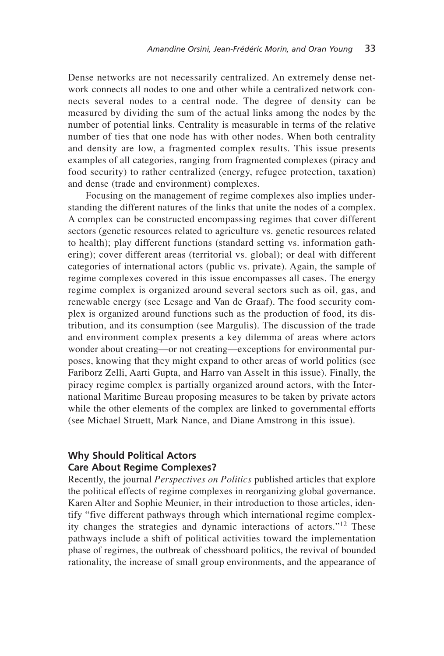Dense networks are not necessarily centralized. An extremely dense network connects all nodes to one and other while a centralized network connects several nodes to a central node. The degree of density can be measured by dividing the sum of the actual links among the nodes by the number of potential links. Centrality is measurable in terms of the relative number of ties that one node has with other nodes. When both centrality and density are low, a fragmented complex results. This issue presents examples of all categories, ranging from fragmented complexes (piracy and food security) to rather centralized (energy, refugee protection, taxation) and dense (trade and environment) complexes.

Focusing on the management of regime complexes also implies understanding the different natures of the links that unite the nodes of a complex. A complex can be constructed encompassing regimes that cover different sectors (genetic resources related to agriculture vs. genetic resources related to health); play different functions (standard setting vs. information gathering); cover different areas (territorial vs. global); or deal with different categories of international actors (public vs. private). Again, the sample of regime complexes covered in this issue encompasses all cases. The energy regime complex is organized around several sectors such as oil, gas, and renewable energy (see Lesage and Van de Graaf). The food security complex is organized around functions such as the production of food, its distribution, and its consumption (see Margulis). The discussion of the trade and environment complex presents a key dilemma of areas where actors wonder about creating—or not creating—exceptions for environmental purposes, knowing that they might expand to other areas of world politics (see Fariborz Zelli, Aarti Gupta, and Harro van Asselt in this issue). Finally, the piracy regime complex is partially organized around actors, with the International Maritime Bureau proposing measures to be taken by private actors while the other elements of the complex are linked to governmental efforts (see Michael Struett, Mark Nance, and Diane Amstrong in this issue).

## **Why Should Political Actors Care About Regime Complexes?**

Recently, the journal *Perspectives on Politics* published articles that explore the political effects of regime complexes in reorganizing global governance. Karen Alter and Sophie Meunier, in their introduction to those articles, identify "five different pathways through which international regime complexity changes the strategies and dynamic interactions of actors."12 These pathways include a shift of political activities toward the implementation phase of regimes, the outbreak of chessboard politics, the revival of bounded rationality, the increase of small group environments, and the appearance of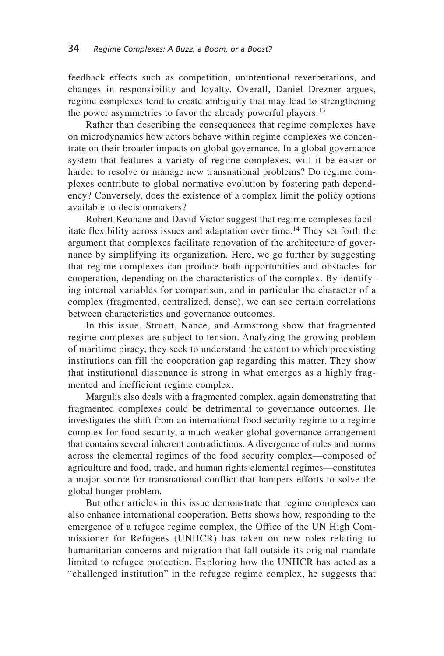feedback effects such as competition, unintentional reverberations, and changes in responsibility and loyalty. Overall, Daniel Drezner argues, regime complexes tend to create ambiguity that may lead to strengthening the power asymmetries to favor the already powerful players.<sup>13</sup>

Rather than describing the consequences that regime complexes have on microdynamics how actors behave within regime complexes we concentrate on their broader impacts on global governance. In a global governance system that features a variety of regime complexes, will it be easier or harder to resolve or manage new transnational problems? Do regime complexes contribute to global normative evolution by fostering path dependency? Conversely, does the existence of a complex limit the policy options available to decisionmakers?

Robert Keohane and David Victor suggest that regime complexes facilitate flexibility across issues and adaptation over time. <sup>14</sup> They set forth the argument that complexes facilitate renovation of the architecture of governance by simplifying its organization. Here, we go further by suggesting that regime complexes can produce both opportunities and obstacles for cooperation, depending on the characteristics of the complex. By identifying internal variables for comparison, and in particular the character of a complex (fragmented, centralized, dense), we can see certain correlations between characteristics and governance outcomes.

In this issue, Struett, Nance, and Armstrong show that fragmented regime complexes are subject to tension. Analyzing the growing problem of maritime piracy, they seek to understand the extent to which preexisting institutions can fill the cooperation gap regarding this matter. They show that institutional dissonance is strong in what emerges as a highly fragmented and inefficient regime complex.

Margulis also deals with a fragmented complex, again demonstrating that fragmented complexes could be detrimental to governance outcomes. He investigates the shift from an international food security regime to a regime complex for food security, a much weaker global governance arrangement that contains several inherent contradictions. A divergence of rules and norms across the elemental regimes of the food security complex—composed of agriculture and food, trade, and human rights elemental regimes—constitutes a major source for transnational conflict that hampers efforts to solve the global hunger problem.

But other articles in this issue demonstrate that regime complexes can also enhance international cooperation. Betts shows how, responding to the emergence of a refugee regime complex, the Office of the UN High Commissioner for Refugees (UNHCR) has taken on new roles relating to humanitarian concerns and migration that fall outside its original mandate limited to refugee protection. Exploring how the UNHCR has acted as a "challenged institution" in the refugee regime complex, he suggests that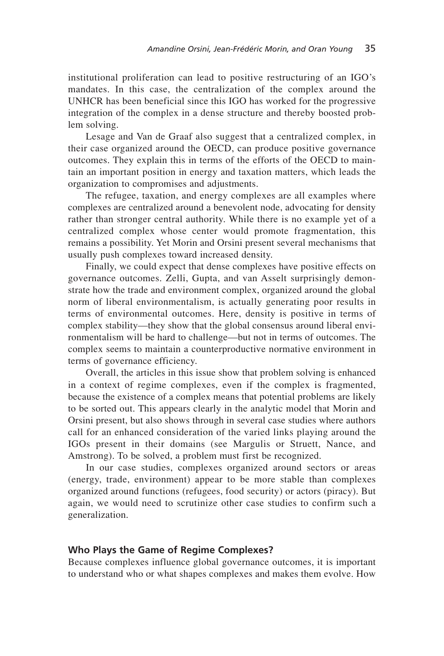institutional proliferation can lead to positive restructuring of an IGO's mandates. In this case, the centralization of the complex around the UNHCR has been beneficial since this IGO has worked for the progressive integration of the complex in a dense structure and thereby boosted problem solving.

Lesage and Van de Graaf also suggest that a centralized complex, in their case organized around the OECD, can produce positive governance outcomes. They explain this in terms of the efforts of the OECD to maintain an important position in energy and taxation matters, which leads the organization to compromises and adjustments.

The refugee, taxation, and energy complexes are all examples where complexes are centralized around a benevolent node, advocating for density rather than stronger central authority. While there is no example yet of a centralized complex whose center would promote fragmentation, this remains a possibility. Yet Morin and Orsini present several mechanisms that usually push complexes toward increased density.

Finally, we could expect that dense complexes have positive effects on governance outcomes. Zelli, Gupta, and van Asselt surprisingly demonstrate how the trade and environment complex, organized around the global norm of liberal environmentalism, is actually generating poor results in terms of environmental outcomes. Here, density is positive in terms of complex stability—they show that the global consensus around liberal environmentalism will be hard to challenge—but not in terms of outcomes. The complex seems to maintain a counterproductive normative environment in terms of governance efficiency.

Overall, the articles in this issue show that problem solving is enhanced in a context of regime complexes, even if the complex is fragmented, because the existence of a complex means that potential problems are likely to be sorted out. This appears clearly in the analytic model that Morin and Orsini present, but also shows through in several case studies where authors call for an enhanced consideration of the varied links playing around the IGOs present in their domains (see Margulis or Struett, Nance, and Amstrong). To be solved, a problem must first be recognized.

In our case studies, complexes organized around sectors or areas (energy, trade, environment) appear to be more stable than complexes organized around functions (refugees, food security) or actors (piracy). But again, we would need to scrutinize other case studies to confirm such a generalization.

### **Who Plays the Game of Regime Complexes?**

Because complexes influence global governance outcomes, it is important to understand who or what shapes complexes and makes them evolve. How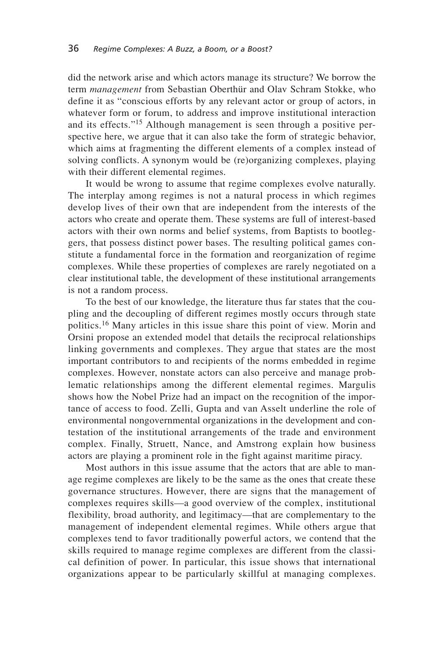did the network arise and which actors manage its structure? We borrow the term *management* from Sebastian Oberthür and Olav Schram Stokke, who define it as "conscious efforts by any relevant actor or group of actors, in whatever form or forum, to address and improve institutional interaction and its effects."15 Although management is seen through a positive perspective here, we argue that it can also take the form of strategic behavior, which aims at fragmenting the different elements of a complex instead of solving conflicts. A synonym would be (re)organizing complexes, playing with their different elemental regimes.

It would be wrong to assume that regime complexes evolve naturally. The interplay among regimes is not a natural process in which regimes develop lives of their own that are independent from the interests of the actors who create and operate them. These systems are full of interest-based actors with their own norms and belief systems, from Baptists to bootleggers, that possess distinct power bases. The resulting political games constitute a fundamental force in the formation and reorganization of regime complexes. While these properties of complexes are rarely negotiated on a clear institutional table, the development of these institutional arrangements is not a random process.

To the best of our knowledge, the literature thus far states that the coupling and the decoupling of different regimes mostly occurs through state politics. <sup>16</sup> Many articles in this issue share this point of view. Morin and Orsini propose an extended model that details the reciprocal relationships linking governments and complexes. They argue that states are the most important contributors to and recipients of the norms embedded in regime complexes. However, nonstate actors can also perceive and manage problematic relationships among the different elemental regimes. Margulis shows how the Nobel Prize had an impact on the recognition of the importance of access to food. Zelli, Gupta and van Asselt underline the role of environmental nongovernmental organizations in the development and contestation of the institutional arrangements of the trade and environment complex. Finally, Struett, Nance, and Amstrong explain how business actors are playing a prominent role in the fight against maritime piracy.

Most authors in this issue assume that the actors that are able to manage regime complexes are likely to be the same as the ones that create these governance structures. However, there are signs that the management of complexes requires skills—a good overview of the complex, institutional flexibility, broad authority, and legitimacy—that are complementary to the management of independent elemental regimes. While others argue that complexes tend to favor traditionally powerful actors, we contend that the skills required to manage regime complexes are different from the classical definition of power. In particular, this issue shows that international organizations appear to be particularly skillful at managing complexes.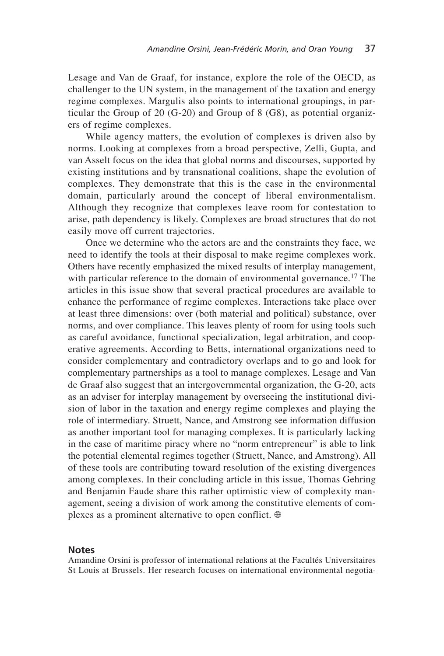Lesage and Van de Graaf, for instance, explore the role of the OECD, as challenger to the UN system, in the management of the taxation and energy regime complexes. Margulis also points to international groupings, in particular the Group of 20 (G-20) and Group of 8 (G8), as potential organizers of regime complexes.

While agency matters, the evolution of complexes is driven also by norms. Looking at complexes from a broad perspective, Zelli, Gupta, and van Asselt focus on the idea that global norms and discourses, supported by existing institutions and by transnational coalitions, shape the evolution of complexes. They demonstrate that this is the case in the environmental domain, particularly around the concept of liberal environmentalism. Although they recognize that complexes leave room for contestation to arise, path dependency is likely. Complexes are broad structures that do not easily move off current trajectories.

Once we determine who the actors are and the constraints they face, we need to identify the tools at their disposal to make regime complexes work. Others have recently emphasized the mixed results of interplay management, with particular reference to the domain of environmental governance.<sup>17</sup> The articles in this issue show that several practical procedures are available to enhance the performance of regime complexes. Interactions take place over at least three dimensions: over (both material and political) substance, over norms, and over compliance. This leaves plenty of room for using tools such as careful avoidance, functional specialization, legal arbitration, and cooperative agreements. According to Betts, international organizations need to consider complementary and contradictory overlaps and to go and look for complementary partnerships as a tool to manage complexes. Lesage and Van de Graaf also suggest that an intergovernmental organization, the G-20, acts as an adviser for interplay management by overseeing the institutional division of labor in the taxation and energy regime complexes and playing the role of intermediary. Struett, Nance, and Amstrong see information diffusion as another important tool for managing complexes. It is particularly lacking in the case of maritime piracy where no "norm entrepreneur" is able to link the potential elemental regimes together (Struett, Nance, and Amstrong). All of these tools are contributing toward resolution of the existing divergences among complexes. In their concluding article in this issue, Thomas Gehring and Benjamin Faude share this rather optimistic view of complexity management, seeing a division of work among the constitutive elements of complexes as a prominent alternative to open conflict.

#### **Notes**

Amandine Orsini is professor of international relations at the Facultés Universitaires St Louis at Brussels. Her research focuses on international environmental negotia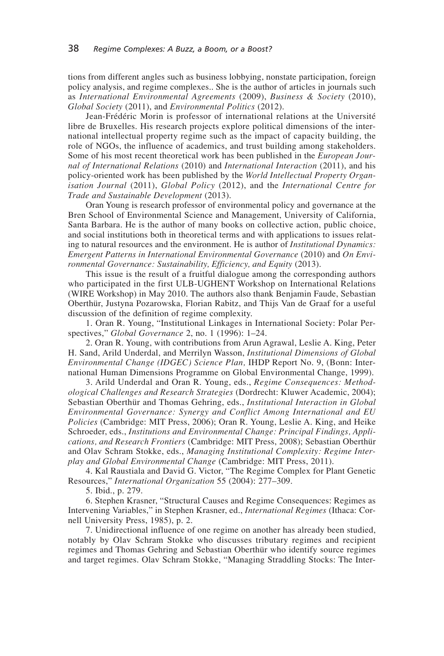tions from different angles such as business lobbying, nonstate participation, foreign policy analysis, and regime complexes.. She is the author of articles in journals such as *International Environmental Agreements* (2009), *Business & Society* (2010), *Global Society* (2011), and *Environmental Politics* (2012).

Jean-Frédéric Morin is professor of international relations at the Université libre de Bruxelles. His research projects explore political dimensions of the international intellectual property regime such as the impact of capacity building, the role of NGOs, the influence of academics, and trust building among stakeholders. Some of his most recent theoretical work has been published in the *European Journal of International Relations* (2010) and *International Interaction* (2011), and his policy-oriented work has been published by the *World Intellectual Property Organisation Journal* (2011), *Global Policy* (2012), and the *International Centre for Trade and Sustainable Development* (2013).

Oran Young is research professor of environmental policy and governance at the Bren School of Environmental Science and Management, University of California, Santa Barbara. He is the author of many books on collective action, public choice, and social institutions both in theoretical terms and with applications to issues relating to natural resources and the environment. He is author of *Institutional Dynamics: Emergent Patterns in International Environmental Governance* (2010) and *On Environmental Governance: Sustainability, Efficiency, and Equity* (2013).

This issue is the result of a fruitful dialogue among the corresponding authors who participated in the first ULB-UGHENT Workshop on International Relations (WIRE Workshop) in May 2010. The authors also thank Benjamin Faude, Sebastian Oberthür, Justyna Pozarowska, Florian Rabitz, and Thijs Van de Graaf for a useful discussion of the definition of regime complexity.

1. Oran R. Young, "Institutional Linkages in International Society: Polar Perspectives," *Global Governance* 2, no. 1 (1996): 1–24.

2. Oran R. Young, with contributions from Arun Agrawal, Leslie A. King, Peter H. Sand, Arild Underdal, and Merrilyn Wasson, *Institutional Dimensions of Global Environmental Change (IDGEC) Science Plan,* IHDP Report No. 9, (Bonn: International Human Dimensions Programme on Global Environmental Change, 1999).

3. Arild Underdal and Oran R. Young, eds., *Regime Consequences: Methodological Challenges and Research Strategies* (Dordrecht: Kluwer Academic, 2004); Sebastian Oberthür and Thomas Gehring, eds., *Institutional Interaction in Global Environmental Governance: Synergy and Conflict Among International and EU Policies* (Cambridge: MIT Press, 2006); Oran R. Young, Leslie A. King, and Heike Schroeder, eds., *Institutions and Environmental Change: Principal Findings, Applications, and Research Frontiers* (Cambridge: MIT Press, 2008); Sebastian Oberthür and Olav Schram Stokke, eds., *Managing Institutional Complexity: Regime Interplay and Global Environmental Change* (Cambridge: MIT Press, 2011).

4. Kal Raustiala and David G. Victor, "The Regime Complex for Plant Genetic Resources," *International Organization* 55 (2004): 277–309.

5. Ibid., p. 279.

6. Stephen Krasner, "Structural Causes and Regime Consequences: Regimes as Intervening Variables," in Stephen Krasner, ed., *International Regimes* (Ithaca: Cornell University Press, 1985), p. 2.

7. Unidirectional influence of one regime on another has already been studied, notably by Olav Schram Stokke who discusses tributary regimes and recipient regimes and Thomas Gehring and Sebastian Oberthür who identify source regimes and target regimes. Olav Schram Stokke, "Managing Straddling Stocks: The Inter